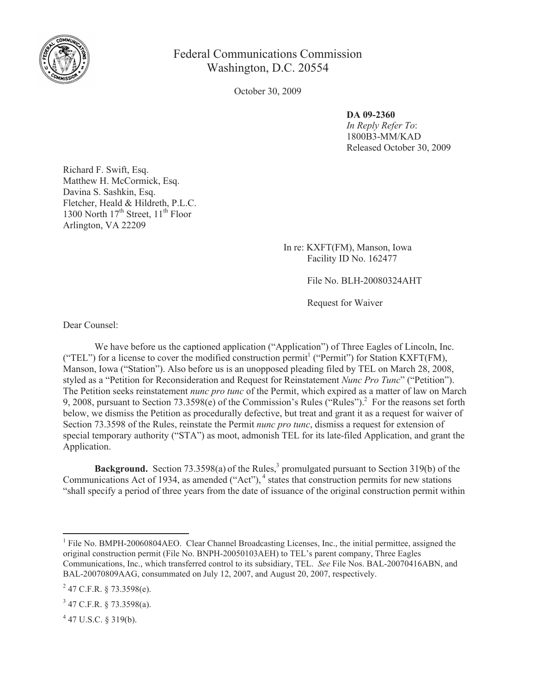

## Federal Communications Commission Washington, D.C. 20554

October 30, 2009

## **DA 09-2360**

*In Reply Refer To*: 1800B3-MM/KAD Released October 30, 2009

Richard F. Swift, Esq. Matthew H. McCormick, Esq. Davina S. Sashkin, Esq. Fletcher, Heald & Hildreth, P.L.C. 1300 North  $17<sup>th</sup>$  Street,  $11<sup>th</sup>$  Floor Arlington, VA 22209

> In re: KXFT(FM), Manson, Iowa Facility ID No. 162477

> > File No. BLH-20080324AHT

Request for Waiver

Dear Counsel:

We have before us the captioned application ("Application") of Three Eagles of Lincoln, Inc. ("TEL") for a license to cover the modified construction permit<sup>1</sup> ("Permit") for Station KXFT(FM), Manson, Iowa ("Station"). Also before us is an unopposed pleading filed by TEL on March 28, 2008, styled as a "Petition for Reconsideration and Request for Reinstatement *Nunc Pro Tunc*" ("Petition"). The Petition seeks reinstatement *nunc pro tunc* of the Permit, which expired as a matter of law on March 9, 2008, pursuant to Section  $73.3598(e)$  of the Commission's Rules ("Rules").<sup>2</sup> For the reasons set forth below, we dismiss the Petition as procedurally defective, but treat and grant it as a request for waiver of Section 73.3598 of the Rules, reinstate the Permit *nunc pro tunc*, dismiss a request for extension of special temporary authority ("STA") as moot, admonish TEL for its late-filed Application, and grant the Application.

**Background.** Section 73.3598(a) of the Rules,<sup>3</sup> promulgated pursuant to Section 319(b) of the Communications Act of 1934, as amended ("Act"), <sup>4</sup> states that construction permits for new stations "shall specify a period of three years from the date of issuance of the original construction permit within

<sup>&</sup>lt;sup>1</sup> File No. BMPH-20060804AEO. Clear Channel Broadcasting Licenses, Inc., the initial permittee, assigned the original construction permit (File No. BNPH-20050103AEH) to TEL's parent company, Three Eagles Communications, Inc., which transferred control to its subsidiary, TEL. *See* File Nos. BAL-20070416ABN, and BAL-20070809AAG, consummated on July 12, 2007, and August 20, 2007, respectively.

 $^{2}$  47 C.F.R. § 73.3598(e).

 $3$  47 C.F.R. § 73.3598(a).

 $4$  47 U.S.C. § 319(b).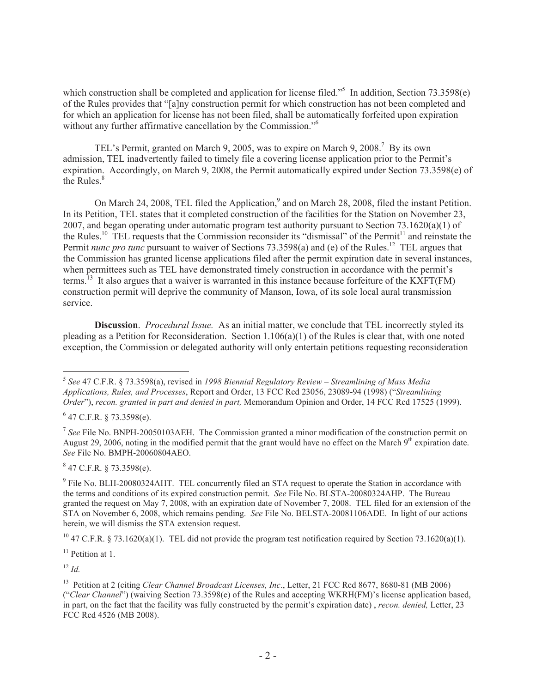which construction shall be completed and application for license filed."<sup>5</sup> In addition, Section 73.3598(e) of the Rules provides that "[a]ny construction permit for which construction has not been completed and for which an application for license has not been filed, shall be automatically forfeited upon expiration without any further affirmative cancellation by the Commission."<sup>6</sup>

TEL's Permit, granted on March 9, 2005, was to expire on March 9, 2008.<sup>7</sup> By its own admission, TEL inadvertently failed to timely file a covering license application prior to the Permit's expiration. Accordingly, on March 9, 2008, the Permit automatically expired under Section 73.3598(e) of the Rules.<sup>8</sup>

On March 24, 2008, TEL filed the Application,<sup>9</sup> and on March 28, 2008, filed the instant Petition. In its Petition, TEL states that it completed construction of the facilities for the Station on November 23, 2007, and began operating under automatic program test authority pursuant to Section 73.1620(a)(1) of the Rules.<sup>10</sup> TEL requests that the Commission reconsider its "dismissal" of the Permit<sup>11</sup> and reinstate the Permit *nunc pro tunc* pursuant to waiver of Sections 73.3598(a) and (e) of the Rules.<sup>12</sup> TEL argues that the Commission has granted license applications filed after the permit expiration date in several instances, when permittees such as TEL have demonstrated timely construction in accordance with the permit's terms.<sup>13</sup> It also argues that a waiver is warranted in this instance because forfeiture of the KXFT(FM) construction permit will deprive the community of Manson, Iowa, of its sole local aural transmission service.

**Discussion**. *Procedural Issue.* As an initial matter, we conclude that TEL incorrectly styled its pleading as a Petition for Reconsideration. Section 1.106(a)(1) of the Rules is clear that, with one noted exception, the Commission or delegated authority will only entertain petitions requesting reconsideration

 $847$  C.F.R. § 73.3598(e).

 $12 \, Id$ 

<sup>5</sup> *See* 47 C.F.R. § 73.3598(a), revised in *1998 Biennial Regulatory Review – Streamlining of Mass Media Applications, Rules, and Processes*, Report and Order, 13 FCC Rcd 23056, 23089-94 (1998) ("*Streamlining Order*"), *recon. granted in part and denied in part,* Memorandum Opinion and Order, 14 FCC Rcd 17525 (1999).

 $647$  C.F.R. § 73.3598(e).

<sup>&</sup>lt;sup>7</sup> See File No. BNPH-20050103AEH. The Commission granted a minor modification of the construction permit on August 29, 2006, noting in the modified permit that the grant would have no effect on the March  $9<sup>th</sup>$  expiration date. *See* File No. BMPH-20060804AEO.

<sup>&</sup>lt;sup>9</sup> File No. BLH-20080324AHT. TEL concurrently filed an STA request to operate the Station in accordance with the terms and conditions of its expired construction permit. *See* File No. BLSTA-20080324AHP. The Bureau granted the request on May 7, 2008, with an expiration date of November 7, 2008. TEL filed for an extension of the STA on November 6, 2008, which remains pending. *See* File No. BELSTA-20081106ADE. In light of our actions herein, we will dismiss the STA extension request.

<sup>&</sup>lt;sup>10</sup> 47 C.F.R. § 73.1620(a)(1). TEL did not provide the program test notification required by Section 73.1620(a)(1).

 $11$  Petition at 1.

<sup>13</sup> Petition at 2 (citing *Clear Channel Broadcast Licenses, Inc*., Letter, 21 FCC Rcd 8677, 8680-81 (MB 2006) ("*Clear Channel*") (waiving Section 73.3598(e) of the Rules and accepting WKRH(FM)'s license application based, in part, on the fact that the facility was fully constructed by the permit's expiration date) , *recon. denied,* Letter, 23 FCC Rcd 4526 (MB 2008).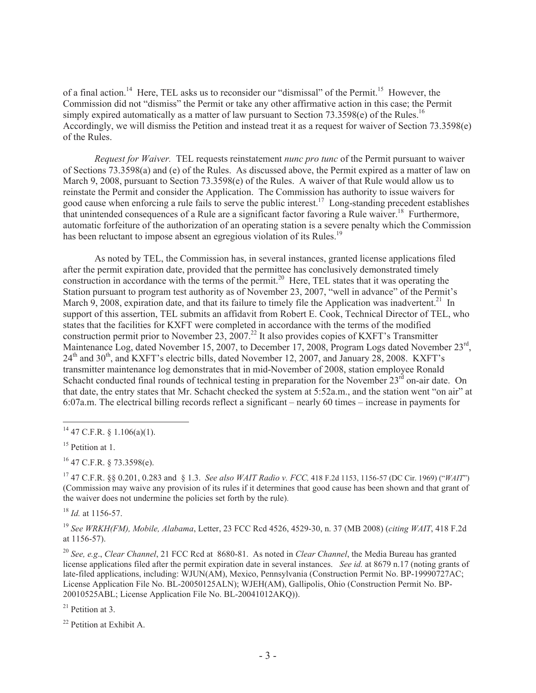of a final action.<sup>14</sup> Here, TEL asks us to reconsider our "dismissal" of the Permit.<sup>15</sup> However, the Commission did not "dismiss" the Permit or take any other affirmative action in this case; the Permit simply expired automatically as a matter of law pursuant to Section 73.3598(e) of the Rules.<sup>16</sup> Accordingly, we will dismiss the Petition and instead treat it as a request for waiver of Section 73.3598(e) of the Rules.

*Request for Waiver.* TEL requests reinstatement *nunc pro tunc* of the Permit pursuant to waiver of Sections 73.3598(a) and (e) of the Rules. As discussed above, the Permit expired as a matter of law on March 9, 2008, pursuant to Section 73.3598(e) of the Rules. A waiver of that Rule would allow us to reinstate the Permit and consider the Application. The Commission has authority to issue waivers for good cause when enforcing a rule fails to serve the public interest. <sup>17</sup> Long-standing precedent establishes that unintended consequences of a Rule are a significant factor favoring a Rule waiver.<sup>18</sup> Furthermore, automatic forfeiture of the authorization of an operating station is a severe penalty which the Commission has been reluctant to impose absent an egregious violation of its Rules.<sup>19</sup>

As noted by TEL, the Commission has, in several instances, granted license applications filed after the permit expiration date, provided that the permittee has conclusively demonstrated timely construction in accordance with the terms of the permit.<sup>20</sup> Here, TEL states that it was operating the Station pursuant to program test authority as of November 23, 2007, "well in advance" of the Permit's March 9, 2008, expiration date, and that its failure to timely file the Application was inadvertent.<sup>21</sup> In support of this assertion, TEL submits an affidavit from Robert E. Cook, Technical Director of TEL, who states that the facilities for KXFT were completed in accordance with the terms of the modified construction permit prior to November 23, 2007.<sup>22</sup> It also provides copies of KXFT's Transmitter Maintenance Log, dated November 15, 2007, to December 17, 2008, Program Logs dated November 23rd, 24<sup>th</sup> and 30<sup>th</sup>, and KXFT's electric bills, dated November 12, 2007, and January 28, 2008. KXFT's transmitter maintenance log demonstrates that in mid-November of 2008, station employee Ronald Schacht conducted final rounds of technical testing in preparation for the November 23<sup>rd</sup> on-air date. On that date, the entry states that Mr. Schacht checked the system at 5:52a.m., and the station went "on air" at 6:07a.m. The electrical billing records reflect a significant – nearly 60 times – increase in payments for

 $16$  47 C.F.R. § 73.3598(e).

<sup>17</sup> 47 C.F.R. §§ 0.201, 0.283 and § 1.3. *See also WAIT Radio v. FCC,* 418 F.2d 1153, 1156-57 (DC Cir. 1969) ("*WAIT*") (Commission may waive any provision of its rules if it determines that good cause has been shown and that grant of the waiver does not undermine the policies set forth by the rule).

<sup>18</sup> *Id.* at 1156-57.

<sup>19</sup> *See WRKH(FM), Mobile, Alabama*, Letter, 23 FCC Rcd 4526, 4529-30, n. 37 (MB 2008) (*citing WAIT*, 418 F.2d at 1156-57).

<sup>20</sup> *See, e.g*., *Clear Channel*, 21 FCC Rcd at 8680-81. As noted in *Clear Channel*, the Media Bureau has granted license applications filed after the permit expiration date in several instances. *See id.* at 8679 n.17 (noting grants of late-filed applications, including: WJUN(AM), Mexico, Pennsylvania (Construction Permit No. BP-19990727AC; License Application File No. BL-20050125ALN); WJEH(AM), Gallipolis, Ohio (Construction Permit No. BP-20010525ABL; License Application File No. BL-20041012AKQ)).

 $21$  Petition at 3.

<sup>22</sup> Petition at Exhibit A.

 $14$  47 C.F.R. § 1.106(a)(1).

<sup>&</sup>lt;sup>15</sup> Petition at 1.